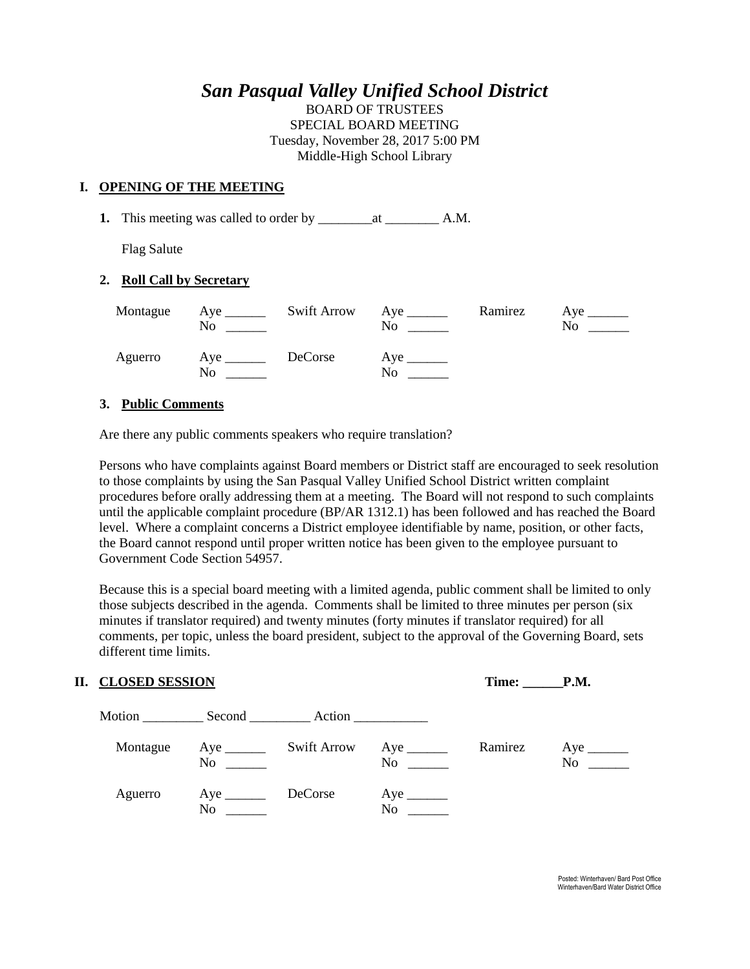# *San Pasqual Valley Unified School District*

BOARD OF TRUSTEES SPECIAL BOARD MEETING Tuesday, November 28, 2017 5:00 PM Middle-High School Library

## **I. OPENING OF THE MEETING**

**1.** This meeting was called to order by \_\_\_\_\_\_\_\_at \_\_\_\_\_\_\_\_ A.M.

Flag Salute

#### **2. Roll Call by Secretary**

| No                        | Montague Aye ________ Swift Arrow Aye ______ | $\rm No$                      | No. |
|---------------------------|----------------------------------------------|-------------------------------|-----|
| Aguerro Aye DeCorse<br>No |                                              | $Aye$ <sub>______</sub><br>No |     |

## **3. Public Comments**

Are there any public comments speakers who require translation?

Persons who have complaints against Board members or District staff are encouraged to seek resolution to those complaints by using the San Pasqual Valley Unified School District written complaint procedures before orally addressing them at a meeting. The Board will not respond to such complaints until the applicable complaint procedure (BP/AR 1312.1) has been followed and has reached the Board level. Where a complaint concerns a District employee identifiable by name, position, or other facts, the Board cannot respond until proper written notice has been given to the employee pursuant to Government Code Section 54957.

Because this is a special board meeting with a limited agenda, public comment shall be limited to only those subjects described in the agenda. Comments shall be limited to three minutes per person (six minutes if translator required) and twenty minutes (forty minutes if translator required) for all comments, per topic, unless the board president, subject to the approval of the Governing Board, sets different time limits.

| II. CLOSED SESSION   |                                      |                    | Time: P.M. |         |    |
|----------------------|--------------------------------------|--------------------|------------|---------|----|
| Motion Second Action |                                      |                    |            |         |    |
| Montague             | $Aye$ <sub>______</sub><br>$No \ \_$ | <b>Swift Arrow</b> | No         | Ramirez | No |
| Aguerro              | No                                   | DeCorse            | No         |         |    |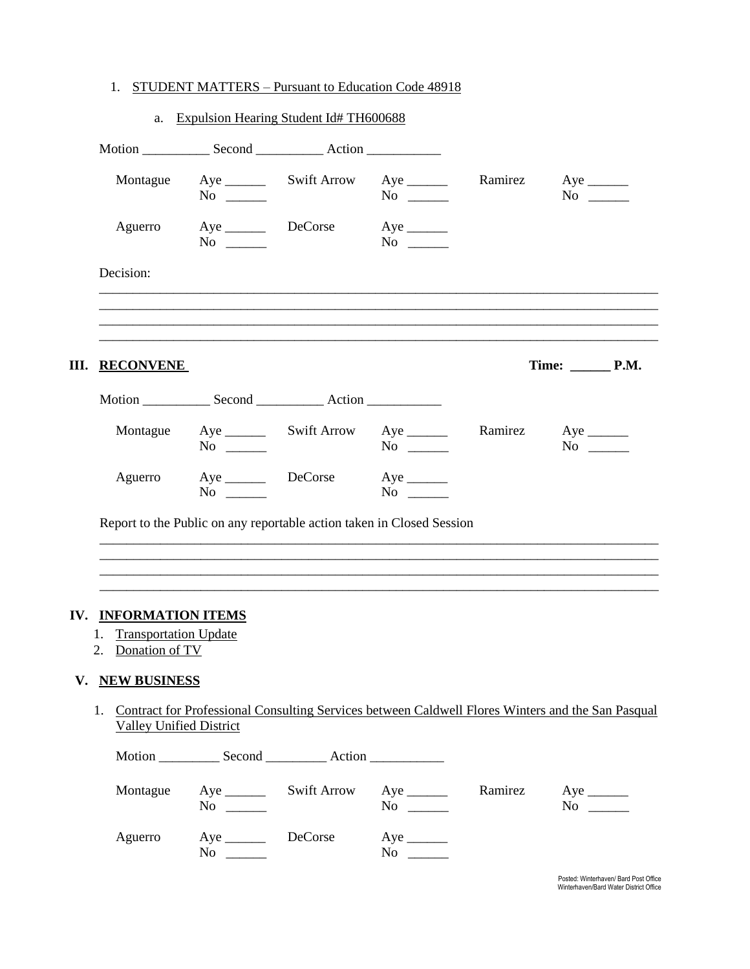# 1. STUDENT MATTERS - Pursuant to Education Code 48918

|    |                                                                                  |                                  | a. Expulsion Hearing Student Id# TH600688                             |                         |         |                                                                                                   |
|----|----------------------------------------------------------------------------------|----------------------------------|-----------------------------------------------------------------------|-------------------------|---------|---------------------------------------------------------------------------------------------------|
|    |                                                                                  |                                  |                                                                       |                         |         |                                                                                                   |
|    | Montague                                                                         | $No \ \_$                        |                                                                       | No $\qquad$             | Ramirez | $No \ \_$                                                                                         |
|    |                                                                                  | Aguerro Aye DeCorse<br>$No \ \_$ |                                                                       | $Aye$ <sub>______</sub> |         |                                                                                                   |
|    | Decision:                                                                        |                                  |                                                                       |                         |         |                                                                                                   |
|    |                                                                                  |                                  |                                                                       |                         |         |                                                                                                   |
| Ш. | <b>RECONVENE</b>                                                                 |                                  |                                                                       |                         |         |                                                                                                   |
|    |                                                                                  |                                  |                                                                       |                         |         |                                                                                                   |
|    |                                                                                  | $No \ \_$                        | Montague Aye _________ Swift Arrow Aye _______                        | $No \ \_$               |         | Ramirez Aye<br>$No \ \_$                                                                          |
|    |                                                                                  | $No \ \_$                        | Aguerro Aye DeCorse Aye ________                                      |                         |         |                                                                                                   |
|    |                                                                                  |                                  | Report to the Public on any reportable action taken in Closed Session |                         |         |                                                                                                   |
|    |                                                                                  |                                  |                                                                       |                         |         |                                                                                                   |
|    | IV. INFORMATION ITEMS<br><b>Transportation Update</b><br>1.<br>2. Donation of TV |                                  |                                                                       |                         |         |                                                                                                   |
| V. | <b>NEW BUSINESS</b>                                                              |                                  |                                                                       |                         |         |                                                                                                   |
|    | 1.<br><b>Valley Unified District</b>                                             |                                  |                                                                       |                         |         | Contract for Professional Consulting Services between Caldwell Flores Winters and the San Pasqual |
|    | Motion                                                                           | Second                           | Action                                                                |                         |         |                                                                                                   |

| $\cdots$ | $\sim$                           |                    | $\lambda$             |         |            |
|----------|----------------------------------|--------------------|-----------------------|---------|------------|
| Montague | No.                              | <b>Swift Arrow</b> | N <sub>0</sub>        | Ramirez | Aye<br>No. |
| Aguerro  | $Aye$ <sub>________</sub><br>No. | DeCorse            | Aye<br>N <sub>0</sub> |         |            |

Posted: Winterhaven/ Bard Post Office<br>Winterhaven/Bard Water District Office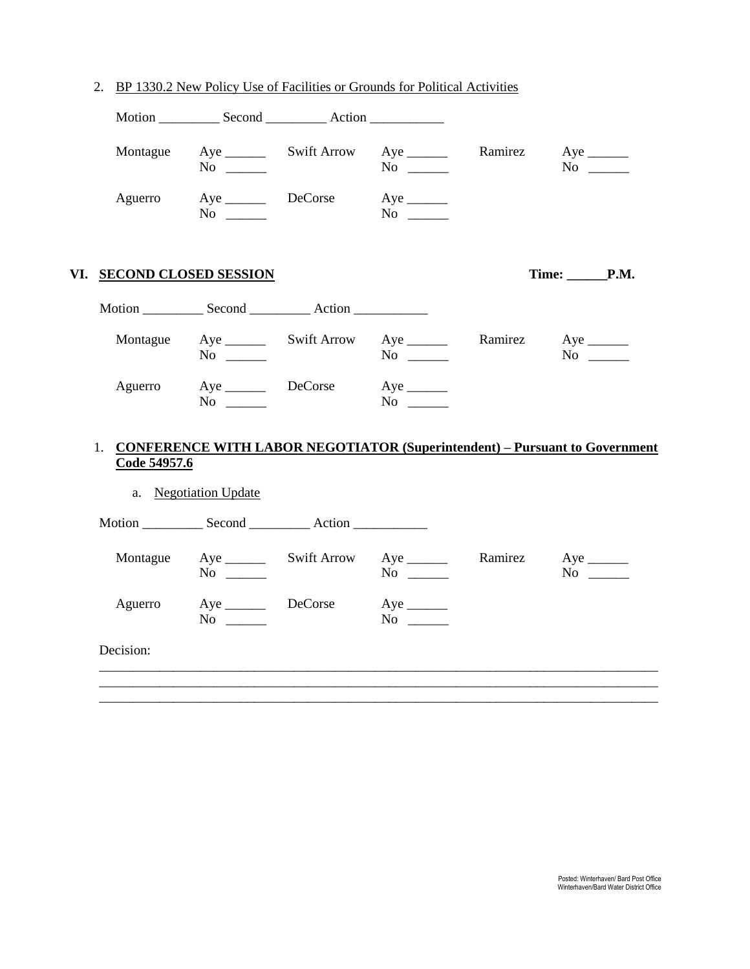| Montague |                                       | $No \ \_$                           |                                                                                  | $No \ \_$                                                                     | Ramirez | $No \ \_$                            |
|----------|---------------------------------------|-------------------------------------|----------------------------------------------------------------------------------|-------------------------------------------------------------------------------|---------|--------------------------------------|
| Aguerro  |                                       | Aye DeCorse<br>$No \ \_$            |                                                                                  | $Aye$ <sub>______</sub><br>$No \ \_$                                          |         |                                      |
|          | VI. SECOND CLOSED SESSION             |                                     |                                                                                  |                                                                               |         | Time: <b>P.M.</b>                    |
|          |                                       |                                     | Motion ________________ Second _______________ Action __________________________ |                                                                               |         |                                      |
| Montague |                                       | $No \ \_$                           |                                                                                  | $No \ \_$                                                                     | Ramirez | $Aye$ <sub>______</sub><br>$No \ \_$ |
| Aguerro  |                                       | Aye __________ DeCorse<br>$No \ \_$ |                                                                                  |                                                                               |         |                                      |
|          |                                       |                                     |                                                                                  | 1. CONFERENCE WITH LABOR NEGOTIATOR (Superintendent) - Pursuant to Government |         |                                      |
|          | Code 54957.6<br>a. Negotiation Update |                                     |                                                                                  |                                                                               |         |                                      |
|          |                                       |                                     |                                                                                  |                                                                               |         |                                      |
|          |                                       |                                     |                                                                                  |                                                                               | Ramirez | $Aye$ <sub>________</sub>            |
| Montague |                                       | $No \ \_$                           |                                                                                  | $No \ \_$                                                                     |         | No $\qquad$                          |
| Aguerro  |                                       | Aye DeCorse<br>$No \ \_$            |                                                                                  | $Aye$ <sub>______</sub><br>$No \ \_$                                          |         |                                      |